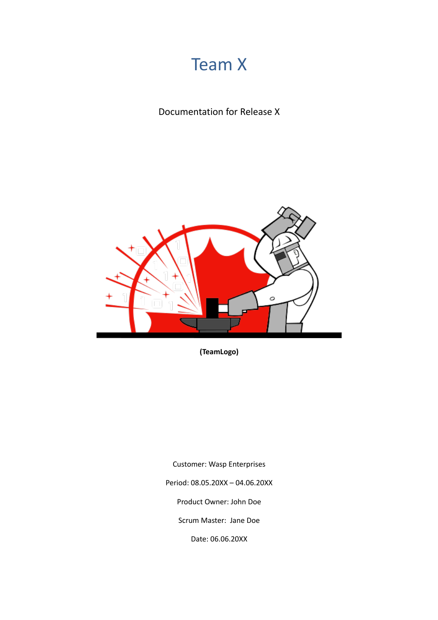# Team X

Documentation for Release X



**(TeamLogo)**

Customer: Wasp Enterprises Period: 08.05.20XX – 04.06.20XX Product Owner: John Doe Scrum Master: Jane Doe Date: 06.06.20XX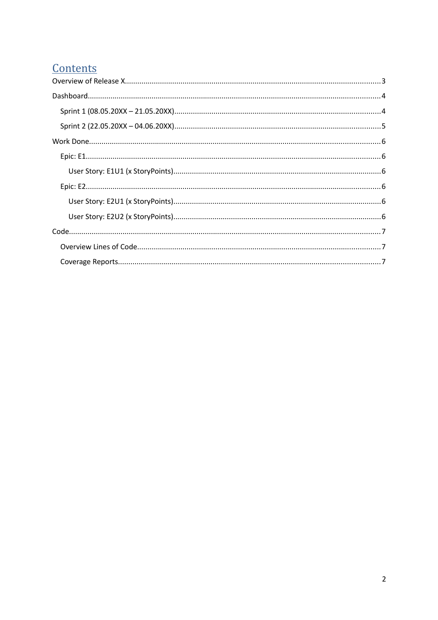# Contents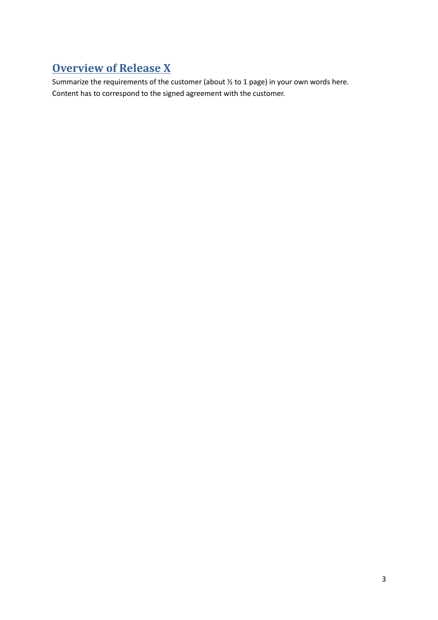# <span id="page-2-0"></span>**Overview of Release X**

Summarize the requirements of the customer (about ½ to 1 page) in your own words here. Content has to correspond to the signed agreement with the customer.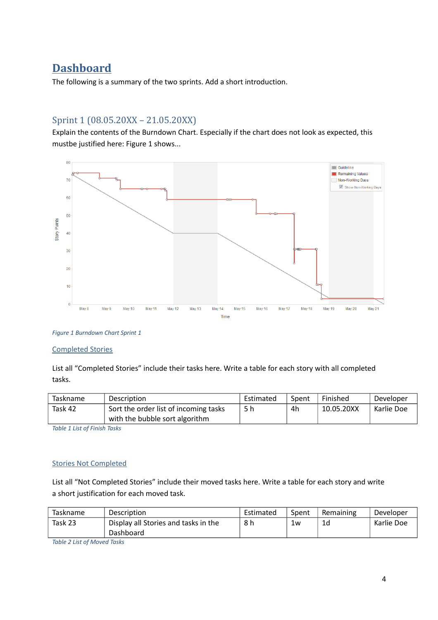# <span id="page-3-1"></span>**Dashboard**

The following is a summary of the two sprints. Add a short introduction.

# <span id="page-3-0"></span>Sprint 1 (08.05.20XX – 21.05.20XX)

Explain the contents of the Burndown Chart. Especially if the chart does not look as expected, this mustbe justified here: Figure 1 shows...



*Figure 1 Burndown Chart Sprint 1*

#### Completed Stories

List all "Completed Stories" include their tasks here. Write a table for each story with all completed tasks.

| Taskname | <b>Description</b>                    | Estimated | Spent | Finished   | Developer  |
|----------|---------------------------------------|-----------|-------|------------|------------|
| Task 42  | Sort the order list of incoming tasks | 5 h       | 4h    | 10.05.20XX | Karlie Doe |
|          | with the bubble sort algorithm        |           |       |            |            |

*Table 1 List of Finish Tasks*

#### Stories Not Completed

List all "Not Completed Stories" include their moved tasks here. Write a table for each story and write a short justification for each moved task.

| Taskname | Description                          | Estimated | Spent | Remaining | Developer  |
|----------|--------------------------------------|-----------|-------|-----------|------------|
| Task 23  | Display all Stories and tasks in the | 8 h       | 1w    | 1d        | Karlie Doe |
|          | Dashboard                            |           |       |           |            |

*Table 2 List of Moved Tasks*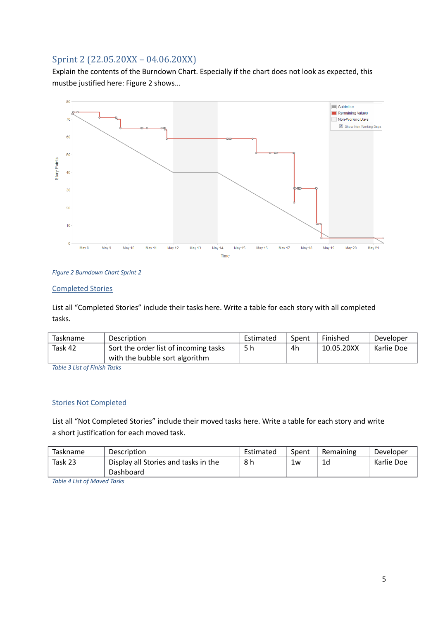# <span id="page-4-0"></span>Sprint 2 (22.05.20XX – 04.06.20XX)

Explain the contents of the Burndown Chart. Especially if the chart does not look as expected, this mustbe justified here: Figure 2 shows...



#### *Figure 2 Burndown Chart Sprint 2*

#### Completed Stories

List all "Completed Stories" include their tasks here. Write a table for each story with all completed tasks.

| Taskname    | <b>Description</b>                    | Estimated | Spent | Finished   | Developer  |
|-------------|---------------------------------------|-----------|-------|------------|------------|
| Task 42     | Sort the order list of incoming tasks | 5 h       | 4h    | 10.05.20XX | Karlie Doe |
|             | with the bubble sort algorithm        |           |       |            |            |
| _ _ _ _ _ . |                                       |           |       |            |            |

*Table 3 List of Finish Tasks*

#### Stories Not Completed

List all "Not Completed Stories" include their moved tasks here. Write a table for each story and write a short justification for each moved task.

| <b>Taskname</b> | <b>Description</b>                                | Estimated | Spent | Remaining | Developer  |
|-----------------|---------------------------------------------------|-----------|-------|-----------|------------|
| Task 23         | Display all Stories and tasks in the<br>Dashboard | 8 h       | 1w    | 1d        | Karlie Doe |

*Table 4 List of Moved Tasks*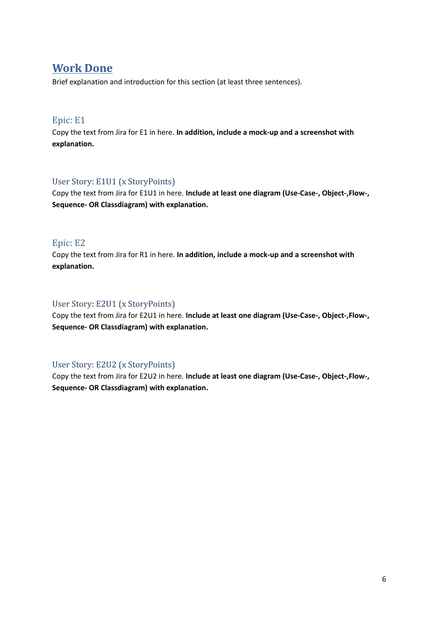# <span id="page-5-5"></span>**Work Done**

Brief explanation and introduction for this section (at least three sentences).

### <span id="page-5-4"></span>Epic: E1

Copy the text from Jira for E1 in here. **In addition, include a mock-up and a screenshot with explanation.**

### <span id="page-5-3"></span>User Story: E1U1 (x StoryPoints)

Copy the text from Jira for E1U1 in here. **Include at least one diagram (Use-Case-, Object-,Flow-, Sequence- OR Classdiagram) with explanation.**

### <span id="page-5-2"></span>Epic: E2

Copy the text from Jira for R1 in here. **In addition, include a mock-up and a screenshot with explanation.**

### <span id="page-5-1"></span>User Story: E2U1 (x StoryPoints)

Copy the text from Jira for E2U1 in here. **Include at least one diagram (Use-Case-, Object-,Flow-, Sequence- OR Classdiagram) with explanation.**

### <span id="page-5-0"></span>User Story: E2U2 (x StoryPoints)

Copy the text from Jira for E2U2 in here. **Include at least one diagram (Use-Case-, Object-,Flow-, Sequence- OR Classdiagram) with explanation.**